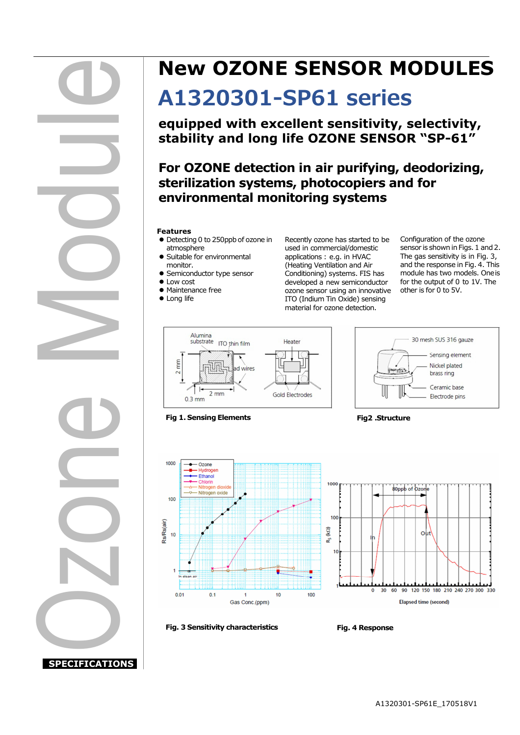# **SPECIFICATIONS**  Ozon d) Mo**d** ule

## **New OZONE SENSOR MODULES**

## **A1320301-SP61 series**

**equipped with excellent sensitivity, selectivity, stability and long life OZONE SENSOR "SP-61"** 

**For OZONE detection in air purifying, deodorizing, sterilization systems, photocopiers and for environmental monitoring systems** 

#### **Features**

- Detecting 0 to 250ppb of ozone in atmosphere
- Suitable for environmental monitor.
- Semiconductor type sensor
- Low cost
- Maintenance free
- **•** Long life
- 

Recently ozone has started to be used in commercial/domestic applications : e.g. in HVAC (Heating Ventilation and Air Conditioning) systems. FIS has developed a new semiconductor ozone sensor using an innovative ITO (Indium Tin Oxide) sensing material for ozone detection.

Configuration of the ozone sensor is shown in Figs. 1 and 2. The gas sensitivity is in Fig. 3, and the response in Fig. 4. This module has two models. One is for the output of 0 to 1V. The other is for 0 to 5V.

30 mesh SUS 316 gauze

Sensing element

Nickel plated

Electrode pins

brass ring Ceramic base



#### **Fig 1. Sensing Elements** Fig 2 .Structure

古